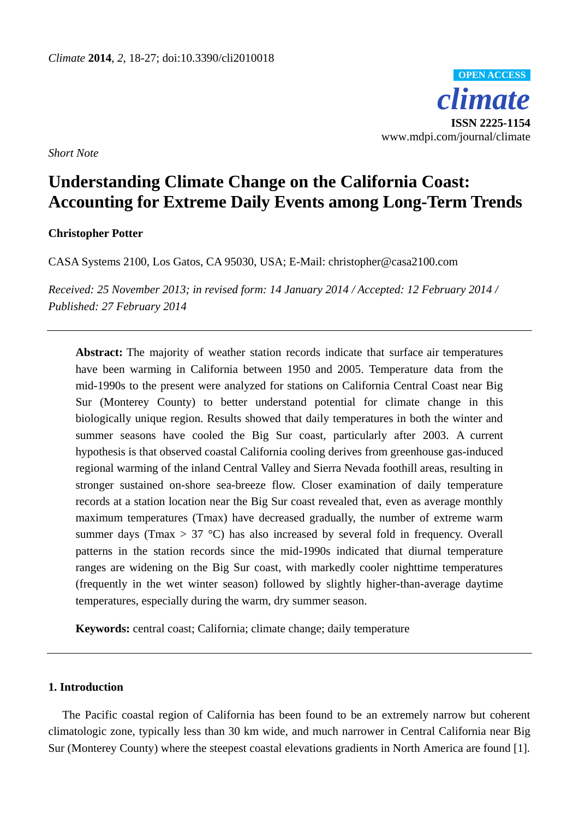*climate* **ISSN 2225-1154** www.mdpi.com/journal/climate **OPEN ACCESS**

*Short Note*

# **Understanding Climate Change on the California Coast: Accounting for Extreme Daily Events among Long-Term Trends**

**Christopher Potter**

CASA Systems 2100, Los Gatos, CA 95030, USA; E-Mail: christopher@casa2100.com

*Received: 25 November 2013; in revised form: 14 January 2014 / Accepted: 12 February 2014 / Published: 27 February 2014*

**Abstract:** The majority of weather station records indicate that surface air temperatures have been warming in California between 1950 and 2005. Temperature data from the mid-1990s to the present were analyzed for stations on California Central Coast near Big Sur (Monterey County) to better understand potential for climate change in this biologically unique region. Results showed that daily temperatures in both the winter and summer seasons have cooled the Big Sur coast, particularly after 2003. A current hypothesis is that observed coastal California cooling derives from greenhouse gas-induced regional warming of the inland Central Valley and Sierra Nevada foothill areas, resulting in stronger sustained on-shore sea-breeze flow. Closer examination of daily temperature records at a station location near the Big Sur coast revealed that, even as average monthly maximum temperatures (Tmax) have decreased gradually, the number of extreme warm summer days (Tmax  $> 37$  °C) has also increased by several fold in frequency. Overall patterns in the station records since the mid-1990s indicated that diurnal temperature ranges are widening on the Big Sur coast, with markedly cooler nighttime temperatures (frequently in the wet winter season) followed by slightly higher-than-average daytime temperatures, especially during the warm, dry summer season.

**Keywords:** central coast; California; climate change; daily temperature

# **1. Introduction**

The Pacific coastal region of California has been found to be an extremely narrow but coherent climatologic zone, typically less than 30 km wide, and much narrower in Central California near Big Sur (Monterey County) where the steepest coastal elevations gradients in North America are found [1].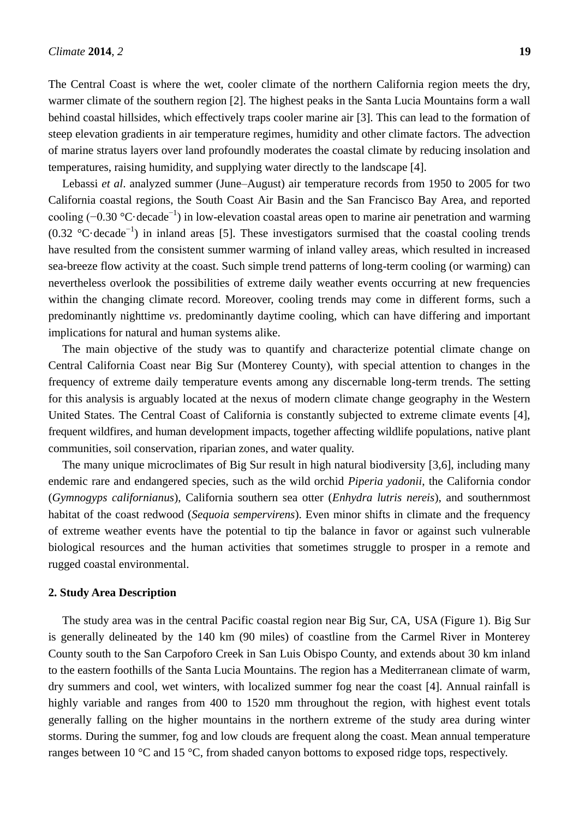The Central Coast is where the wet, cooler climate of the northern California region meets the dry, warmer climate of the southern region [2]. The highest peaks in the Santa Lucia Mountains form a wall behind coastal hillsides, which effectively traps cooler marine air [3]. This can lead to the formation of steep elevation gradients in air temperature regimes, humidity and other climate factors. The advection of marine stratus layers over land profoundly moderates the coastal climate by reducing insolation and temperatures, raising humidity, and supplying water directly to the landscape [4].

Lebassi *et al*. analyzed summer (June–August) air temperature records from 1950 to 2005 for two California coastal regions, the South Coast Air Basin and the San Francisco Bay Area, and reported cooling (-0.30 °C decade<sup>-1</sup>) in low-elevation coastal areas open to marine air penetration and warming (0.32 °C decade<sup>-1</sup>) in inland areas [5]. These investigators surmised that the coastal cooling trends have resulted from the consistent summer warming of inland valley areas, which resulted in increased sea-breeze flow activity at the coast. Such simple trend patterns of long-term cooling (or warming) can nevertheless overlook the possibilities of extreme daily weather events occurring at new frequencies within the changing climate record. Moreover, cooling trends may come in different forms, such a predominantly nighttime *vs*. predominantly daytime cooling, which can have differing and important implications for natural and human systems alike.

The main objective of the study was to quantify and characterize potential climate change on Central California Coast near Big Sur (Monterey County), with special attention to changes in the frequency of extreme daily temperature events among any discernable long-term trends. The setting for this analysis is arguably located at the nexus of modern climate change geography in the Western United States. The Central Coast of California is constantly subjected to extreme climate events [4], frequent wildfires, and human development impacts, together affecting wildlife populations, native plant communities, soil conservation, riparian zones, and water quality.

The many unique microclimates of Big Sur result in high natural biodiversity [3,6], including many endemic rare and endangered species, such as the wild orchid *Piperia yadonii*, the California condor (*Gymnogyps californianus*), California southern sea otter (*Enhydra lutris nereis*), and southernmost habitat of the coast redwood (*Sequoia sempervirens*). Even minor shifts in climate and the frequency of extreme weather events have the potential to tip the balance in favor or against such vulnerable biological resources and the human activities that sometimes struggle to prosper in a remote and rugged coastal environmental.

#### **2. Study Area Description**

The study area was in the central Pacific coastal region near Big Sur, CA, USA (Figure 1). Big Sur is generally delineated by the 140 km (90 miles) of coastline from the Carmel River in Monterey County south to the San Carpoforo Creek in San Luis Obispo County, and extends about 30 km inland to the eastern foothills of the Santa Lucia Mountains. The region has a Mediterranean climate of warm, dry summers and cool, wet winters, with localized summer fog near the coast [4]. Annual rainfall is highly variable and ranges from 400 to 1520 mm throughout the region, with highest event totals generally falling on the higher mountains in the northern extreme of the study area during winter storms. During the summer, fog and low clouds are frequent along the coast. Mean annual temperature ranges between 10  $\mathcal C$  and 15  $\mathcal C$ , from shaded canyon bottoms to exposed ridge tops, respectively.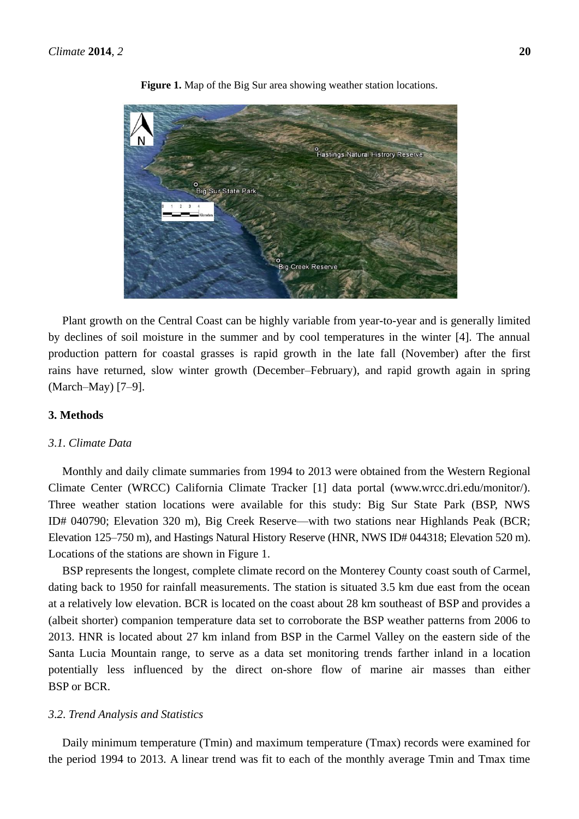

**Figure 1.** Map of the Big Sur area showing weather station locations.

Plant growth on the Central Coast can be highly variable from year-to-year and is generally limited by declines of soil moisture in the summer and by cool temperatures in the winter [4]. The annual production pattern for coastal grasses is rapid growth in the late fall (November) after the first rains have returned, slow winter growth (December–February), and rapid growth again in spring (March–May) [7–9].

### **3. Methods**

# *3*.*1*. *Climate Data*

Monthly and daily climate summaries from 1994 to 2013 were obtained from the Western Regional Climate Center (WRCC) California Climate Tracker [1] data portal (www.wrcc.dri.edu/monitor/). Three weather station locations were available for this study: Big Sur State Park (BSP, NWS ID# 040790; Elevation 320 m), Big Creek Reserve—with two stations near Highlands Peak (BCR; Elevation 125–750 m), and Hastings Natural History Reserve (HNR, NWS ID# 044318; Elevation 520 m). Locations of the stations are shown in Figure 1.

BSP represents the longest, complete climate record on the Monterey County coast south of Carmel, dating back to 1950 for rainfall measurements. The station is situated 3.5 km due east from the ocean at a relatively low elevation. BCR is located on the coast about 28 km southeast of BSP and provides a (albeit shorter) companion temperature data set to corroborate the BSP weather patterns from 2006 to 2013. HNR is located about 27 km inland from BSP in the Carmel Valley on the eastern side of the Santa Lucia Mountain range, to serve as a data set monitoring trends farther inland in a location potentially less influenced by the direct on-shore flow of marine air masses than either BSP or BCR.

#### *3*.*2*. *Trend Analysis and Statistics*

Daily minimum temperature (Tmin) and maximum temperature (Tmax) records were examined for the period 1994 to 2013. A linear trend was fit to each of the monthly average Tmin and Tmax time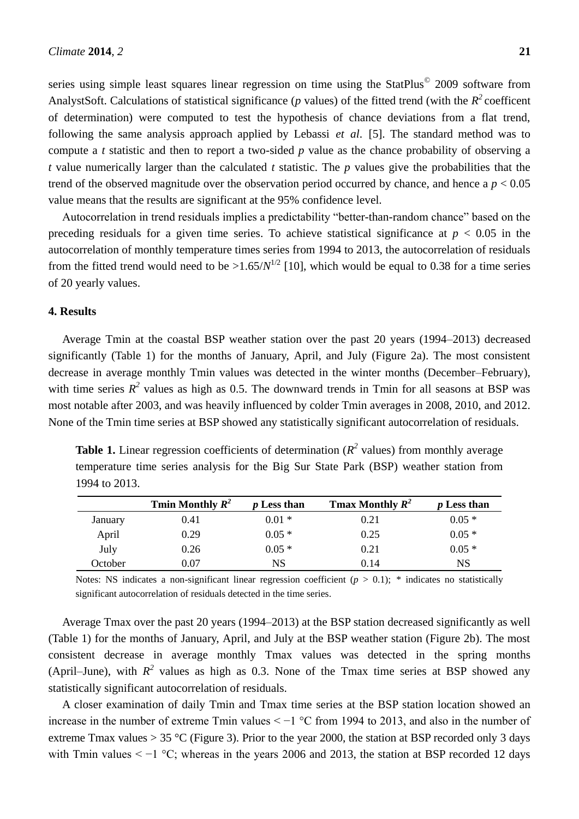series using simple least squares linear regression on time using the StatPlus<sup>©</sup> 2009 software from AnalystSoft. Calculations of statistical significance ( $p$  values) of the fitted trend (with the  $R^2$  coefficent of determination) were computed to test the hypothesis of chance deviations from a flat trend, following the same analysis approach applied by Lebassi *et al*. [5]. The standard method was to compute a *t* statistic and then to report a two-sided *p* value as the chance probability of observing a *t* value numerically larger than the calculated *t* statistic. The *p* values give the probabilities that the trend of the observed magnitude over the observation period occurred by chance, and hence a  $p < 0.05$ value means that the results are significant at the 95% confidence level.

Autocorrelation in trend residuals implies a predictability "better-than-random chance" based on the preceding residuals for a given time series. To achieve statistical significance at  $p < 0.05$  in the autocorrelation of monthly temperature times series from 1994 to 2013, the autocorrelation of residuals from the fitted trend would need to be  $>1.65/N^{1/2}$  [10], which would be equal to 0.38 for a time series of 20 yearly values.

#### **4. Results**

Average Tmin at the coastal BSP weather station over the past 20 years (1994–2013) decreased significantly (Table 1) for the months of January, April, and July (Figure 2a). The most consistent decrease in average monthly Tmin values was detected in the winter months (December–February), with time series  $R^2$  values as high as 0.5. The downward trends in Tmin for all seasons at BSP was most notable after 2003, and was heavily influenced by colder Tmin averages in 2008, 2010, and 2012. None of the Tmin time series at BSP showed any statistically significant autocorrelation of residuals.

**Table 1.** Linear regression coefficients of determination ( $R^2$  values) from monthly average temperature time series analysis for the Big Sur State Park (BSP) weather station from 1994 to 2013.

|         | Tmin Monthly $R^2$ | <i>p</i> Less than | <b>Trax Monthly <math>R^2</math></b> | <i>p</i> Less than |
|---------|--------------------|--------------------|--------------------------------------|--------------------|
| January | 0.41               | $0.01*$            | 0.21                                 | $0.05*$            |
| April   | 0.29               | $0.05*$            | 0.25                                 | $0.05*$            |
| July    | 0.26               | $0.05*$            | 0.21                                 | $0.05*$            |
| October | $\rm 0.07$         | NS                 | 0.14                                 | NS                 |

Notes: NS indicates a non-significant linear regression coefficient  $(p > 0.1)$ ; \* indicates no statistically significant autocorrelation of residuals detected in the time series.

Average Tmax over the past 20 years (1994–2013) at the BSP station decreased significantly as well (Table 1) for the months of January, April, and July at the BSP weather station (Figure 2b). The most consistent decrease in average monthly Tmax values was detected in the spring months (April–June), with  $R^2$  values as high as 0.3. None of the Tmax time series at BSP showed any statistically significant autocorrelation of residuals.

A closer examination of daily Tmin and Tmax time series at the BSP station location showed an increase in the number of extreme Tmin values < −1 °C from 1994 to 2013, and also in the number of extreme Tmax values  $> 35$  °C (Figure 3). Prior to the year 2000, the station at BSP recorded only 3 days with Tmin values  $\lt -1$  °C; whereas in the years 2006 and 2013, the station at BSP recorded 12 days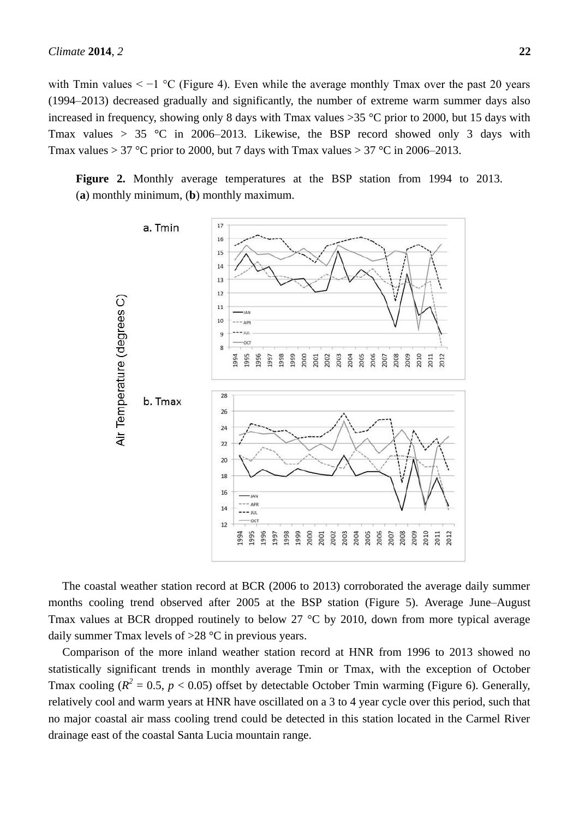with Tmin values  $\lt -1$  °C (Figure 4). Even while the average monthly Tmax over the past 20 years (1994–2013) decreased gradually and significantly, the number of extreme warm summer days also increased in frequency, showing only 8 days with Tmax values  $>35$  °C prior to 2000, but 15 days with Tmax values > 35 °C in 2006–2013. Likewise, the BSP record showed only 3 days with Tmax values > 37 °C prior to 2000, but 7 days with Tmax values > 37 °C in 2006–2013.

**Figure 2.** Monthly average temperatures at the BSP station from 1994 to 2013. (**a**) monthly minimum, (**b**) monthly maximum.



The coastal weather station record at BCR (2006 to 2013) corroborated the average daily summer months cooling trend observed after 2005 at the BSP station (Figure 5). Average June–August Tmax values at BCR dropped routinely to below 27  $\degree$ C by 2010, down from more typical average daily summer Tmax levels of  $>28$  °C in previous years.

Comparison of the more inland weather station record at HNR from 1996 to 2013 showed no statistically significant trends in monthly average Tmin or Tmax, with the exception of October Tmax cooling ( $R^2 = 0.5$ ,  $p < 0.05$ ) offset by detectable October Tmin warming (Figure 6). Generally, relatively cool and warm years at HNR have oscillated on a 3 to 4 year cycle over this period, such that no major coastal air mass cooling trend could be detected in this station located in the Carmel River drainage east of the coastal Santa Lucia mountain range.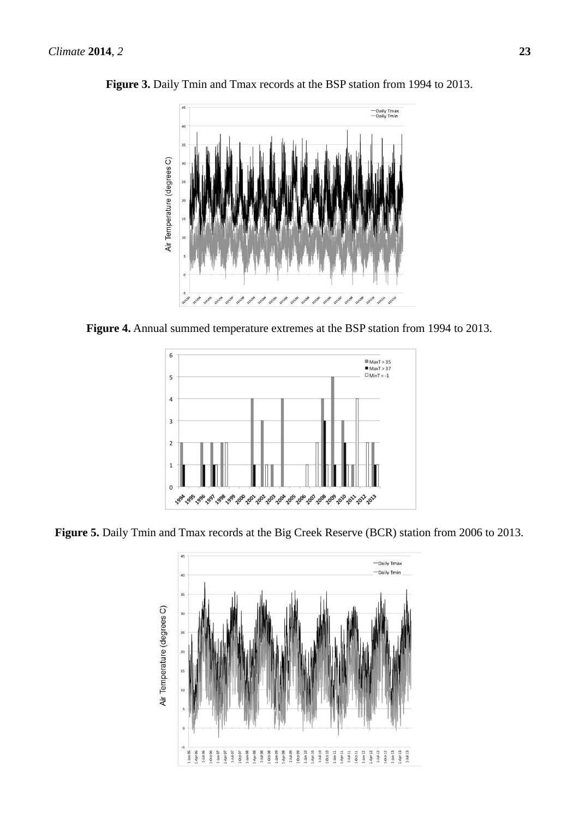

Figure 3. Daily Tmin and Tmax records at the BSP station from 1994 to 2013.





**Figure 5.** Daily Tmin and Tmax records at the Big Creek Reserve (BCR) station from 2006 to 2013.

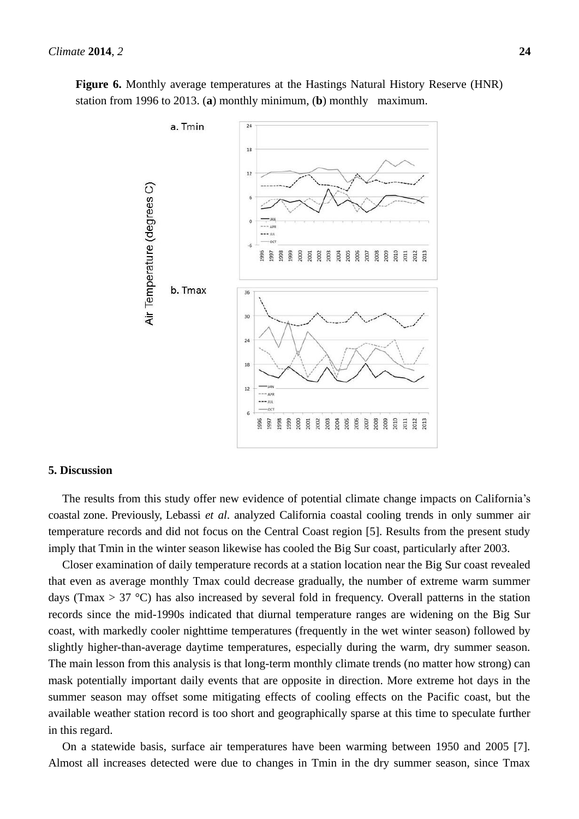

**Figure 6.** Monthly average temperatures at the Hastings Natural History Reserve (HNR) station from 1996 to 2013. (**a**) monthly minimum, (**b**) monthly maximum.

### **5. Discussion**

The results from this study offer new evidence of potential climate change impacts on California's coastal zone. Previously, Lebassi *et al*. analyzed California coastal cooling trends in only summer air temperature records and did not focus on the Central Coast region [5]. Results from the present study imply that Tmin in the winter season likewise has cooled the Big Sur coast, particularly after 2003.

Closer examination of daily temperature records at a station location near the Big Sur coast revealed that even as average monthly Tmax could decrease gradually, the number of extreme warm summer days (Tmax  $> 37$  °C) has also increased by several fold in frequency. Overall patterns in the station records since the mid-1990s indicated that diurnal temperature ranges are widening on the Big Sur coast, with markedly cooler nighttime temperatures (frequently in the wet winter season) followed by slightly higher-than-average daytime temperatures, especially during the warm, dry summer season. The main lesson from this analysis is that long-term monthly climate trends (no matter how strong) can mask potentially important daily events that are opposite in direction. More extreme hot days in the summer season may offset some mitigating effects of cooling effects on the Pacific coast, but the available weather station record is too short and geographically sparse at this time to speculate further in this regard.

On a statewide basis, surface air temperatures have been warming between 1950 and 2005 [7]. Almost all increases detected were due to changes in Tmin in the dry summer season, since Tmax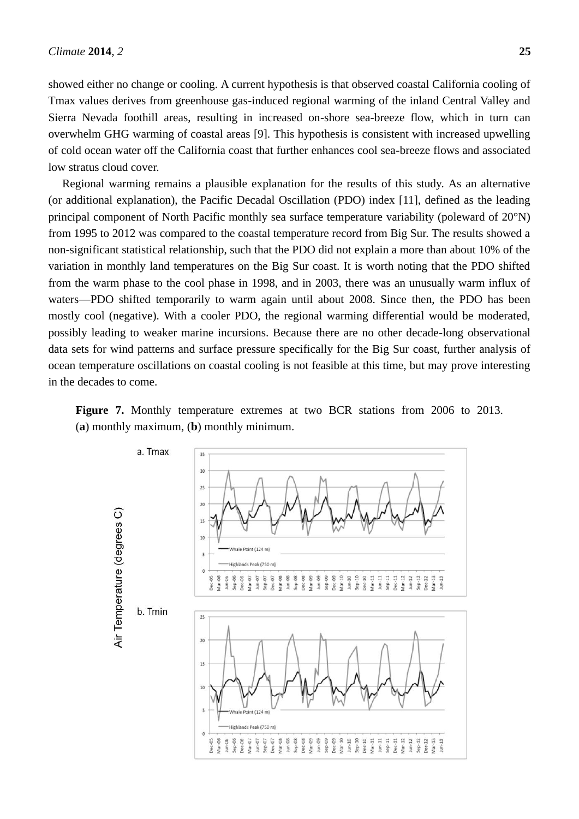showed either no change or cooling. A current hypothesis is that observed coastal California cooling of Tmax values derives from greenhouse gas-induced regional warming of the inland Central Valley and Sierra Nevada foothill areas, resulting in increased on-shore sea-breeze flow, which in turn can overwhelm GHG warming of coastal areas [9]. This hypothesis is consistent with increased upwelling of cold ocean water off the California coast that further enhances cool sea-breeze flows and associated low stratus cloud cover.

Regional warming remains a plausible explanation for the results of this study. As an alternative (or additional explanation), the Pacific Decadal Oscillation (PDO) index [11], defined as the leading principal component of North Pacific monthly sea surface temperature variability (poleward of 20°N) from 1995 to 2012 was compared to the coastal temperature record from Big Sur. The results showed a non-significant statistical relationship, such that the PDO did not explain a more than about 10% of the variation in monthly land temperatures on the Big Sur coast. It is worth noting that the PDO shifted from the warm phase to the cool phase in 1998, and in 2003, there was an unusually warm influx of waters—PDO shifted temporarily to warm again until about 2008. Since then, the PDO has been mostly cool (negative). With a cooler PDO, the regional warming differential would be moderated, possibly leading to weaker marine incursions. Because there are no other decade-long observational data sets for wind patterns and surface pressure specifically for the Big Sur coast, further analysis of ocean temperature oscillations on coastal cooling is not feasible at this time, but may prove interesting in the decades to come.

**Figure 7.** Monthly temperature extremes at two BCR stations from 2006 to 2013. (**a**) monthly maximum, (**b**) monthly minimum.

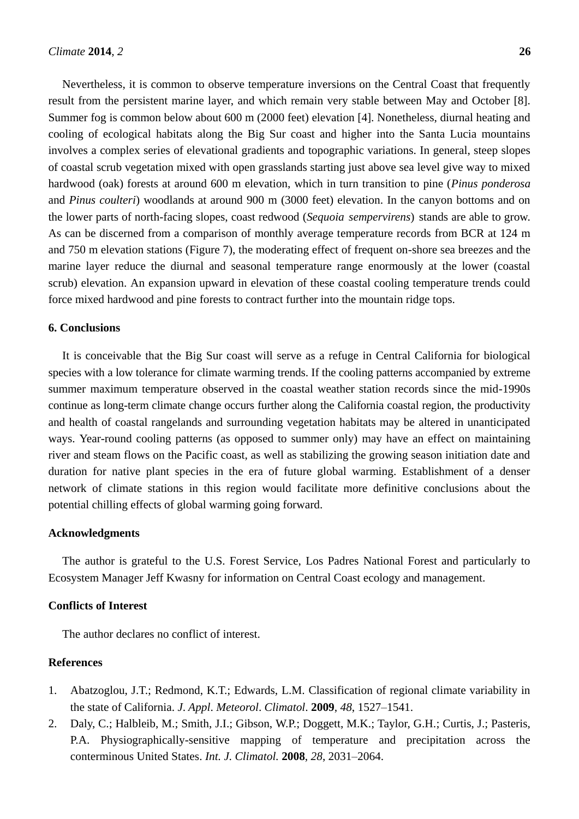Nevertheless, it is common to observe temperature inversions on the Central Coast that frequently result from the persistent marine layer, and which remain very stable between May and October [8]. Summer fog is common below about 600 m (2000 feet) elevation [4]. Nonetheless, diurnal heating and cooling of ecological habitats along the Big Sur coast and higher into the Santa Lucia mountains involves a complex series of elevational gradients and topographic variations. In general, steep slopes of coastal scrub vegetation mixed with open grasslands starting just above sea level give way to mixed hardwood (oak) forests at around 600 m elevation, which in turn transition to pine (*Pinus ponderosa* and *Pinus coulteri*) woodlands at around 900 m (3000 feet) elevation. In the canyon bottoms and on the lower parts of north-facing slopes, coast redwood (*Sequoia sempervirens*) stands are able to grow. As can be discerned from a comparison of monthly average temperature records from BCR at 124 m and 750 m elevation stations (Figure 7), the moderating effect of frequent on-shore sea breezes and the marine layer reduce the diurnal and seasonal temperature range enormously at the lower (coastal scrub) elevation. An expansion upward in elevation of these coastal cooling temperature trends could force mixed hardwood and pine forests to contract further into the mountain ridge tops.

#### **6. Conclusions**

It is conceivable that the Big Sur coast will serve as a refuge in Central California for biological species with a low tolerance for climate warming trends. If the cooling patterns accompanied by extreme summer maximum temperature observed in the coastal weather station records since the mid-1990s continue as long-term climate change occurs further along the California coastal region, the productivity and health of coastal rangelands and surrounding vegetation habitats may be altered in unanticipated ways. Year-round cooling patterns (as opposed to summer only) may have an effect on maintaining river and steam flows on the Pacific coast, as well as stabilizing the growing season initiation date and duration for native plant species in the era of future global warming. Establishment of a denser network of climate stations in this region would facilitate more definitive conclusions about the potential chilling effects of global warming going forward.

#### **Acknowledgments**

The author is grateful to the U.S. Forest Service, Los Padres National Forest and particularly to Ecosystem Manager Jeff Kwasny for information on Central Coast ecology and management.

### **Conflicts of Interest**

The author declares no conflict of interest.

## **References**

- 1. Abatzoglou, J.T.; Redmond, K.T.; Edwards, L.M. Classification of regional climate variability in the state of California. *J*. *Appl*. *Meteorol*. *Climatol*. **2009**, *48*, 1527–1541.
- 2. Daly, C.; Halbleib, M.; Smith, J.I.; Gibson, W.P.; Doggett, M.K.; Taylor, G.H.; Curtis, J.; Pasteris, P.A. Physiographically-sensitive mapping of temperature and precipitation across the conterminous United States. *Int. J. Climatol.* **2008**, *28*, 2031–2064.